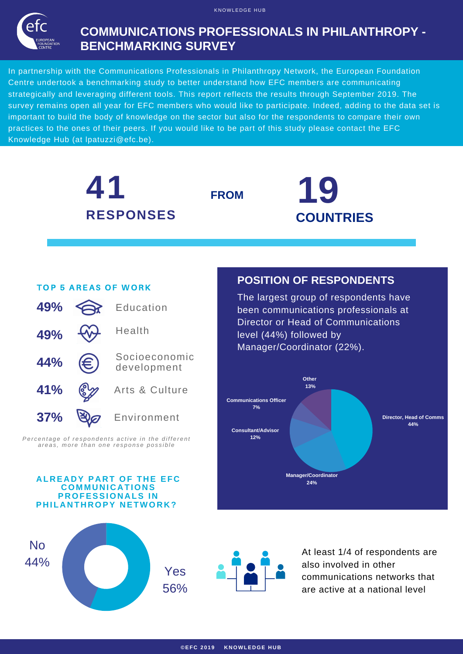K NOWLEDGE HIJR



## **COMMUNICATIONS PROFESSIONALS IN PHILANTHROPY - BENCHMARKING SURVEY**

In partnership with the Communications Professionals in Philanthropy Network, the European Foundation Centre undertook a benchmarking study to better understand how EFC members are communicating strategically and leveraging different tools. This report reflects the results through September 2019. The survey remains open all year for EFC members who would like to participate. Indeed, adding to the data set is important to build the body of knowledge on the sector but also for the respondents to compare their own practices to the ones of their peers. If you would like to be part of this study please contact the EFC Knowledge Hub (at [lpatuzzi@efc.be\).](https://www.surveymonkey.com/r/88QYKH3)









At least 1/4 of respondents are also involved in other communications networks that are active at a national level

#### TOP 5 AREAS OF WORK



Percentage of respondents active in the different areas, more than one response possible

#### **A L R E A D Y P A R T OF T H E EF C CO M M U N I C A TION S P ROFESSION A LS I N P H IL A N T H ROPY N ETWOR K ?**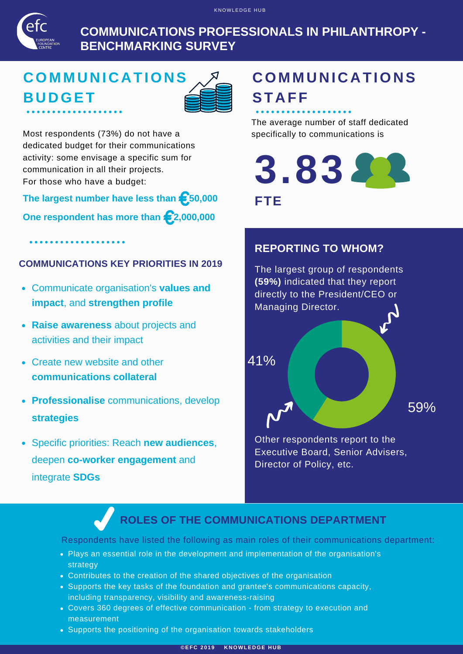

**COMMUNICATIONS PROFESSIONALS IN PHILANTHROPY - BENCHMARKING SURVEY**

# **CO M M U N I C A TION S B U DGET**



Most respondents (73%) do not have a dedicated budget for their communications activity: some envisage a specific sum for communication in all their projects. For those who have a budget:

**The largest number have less than 50,000**

**One respondent has more than 2,000,000**

. . . . . . . . . . . . . . . . . .

### **COMMUNICATIONS KEY PRIORITIES IN 2019**

- Communicate organisation's **values and impact**, and **strengthen profile**
- **Raise awareness** about projects and activities and their impact
- Create new website and other **communications collateral**
- **Professionalise** communications, develop **strategies**
- Specific priorities: Reach **new audiences**,  $\bullet$ deepen **co-worker engagement** and integrate **SDGs**

# **CO M M U N I C A TION S ST A FF**

The average number of staff dedicated specifically to communications is

**3.83 FTE**

### **REPORTING TO WHOM?**



Other respondents report to the Executive Board, Senior Advisers, Director of Policy, etc.

## **ROLES OF THE COMMUNICATIONS DEPARTMENT**

Respondents have listed the following as main roles of their communications department:

- Plays an essential role in the development and implementation of the organisation's strategy
- Contributes to the creation of the shared objectives of the organisation
- Supports the key tasks of the foundation and grantee's communications capacity, including transparency, visibility and awareness-raising
- Covers 360 degrees of effective communication from strategy to execution and measurement
- Supports the positioning of the organisation towards stakeholders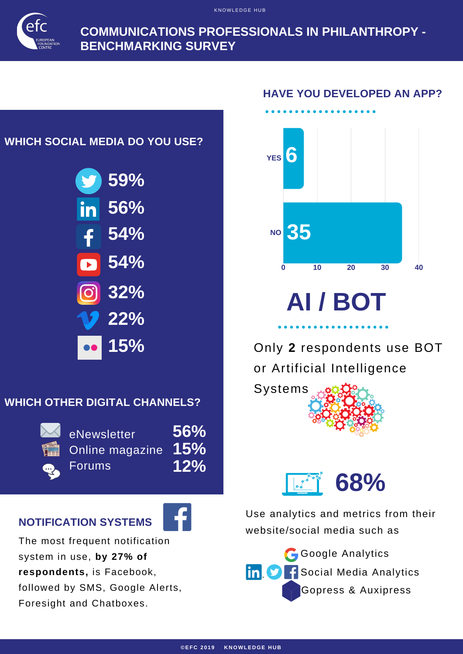KNOWLEDGE HUB



**COMMUNICATIONS PROFESSIONALS IN PHILANTHROPY - BENCHMARKING SURVEY**

## **WHICH SOCIAL MEDIA DO YOU USE?**



## **WHICH OTHER DIGITAL CHANNELS?**



eNewsletter Online magazine Forums **56% 15% 12%**

## **NOTIFICATION SYSTEMS**



The most frequent notification system in use, **by 27% of respondents,** is Facebook, followed by SMS, Google Alerts, Foresight and Chatboxes.

### **HAVE YOU DEVELOPED AN APP?**



# **AI / BOT**

Only **2** respondents use BOT or Artificial Intelligence





Use analytics and metrics from their website/social media such as

Google Analytics  $\mathsf{lin}(\mathsf{S})$ Social Media Analytics Gopress & Auxipress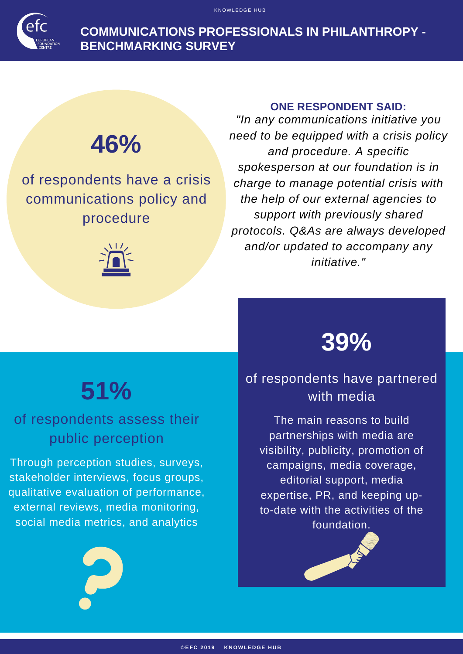**COMMUNICATIONS PROFESSIONALS IN PHILANTHROPY - BENCHMARKING SURVEY**

K NOWLE DGE H U B

# **46%**

of respondents have a crisis communications policy and procedure



#### **ONE RESPONDENT SAID:**

*"In any communications initiative you need to be equipped with a crisis policy and procedure. A specific spokesperson at our foundation is in charge to manage potential crisis with the help of our external agencies to support with previously shared protocols. Q&As are always developed and/or updated to accompany any initiative."*

# **51%**

# of respondents assess their public perception

Through perception studies, surveys, stakeholder interviews, focus groups, qualitative evaluation of performance, external reviews, media monitoring, social media metrics, and analytics



# of respondents have partnered with media

The main reasons to build partnerships with media are visibility, publicity, promotion of campaigns, media coverage, editorial support, media expertise, PR, and keeping upto-date with the activities of the foundation.

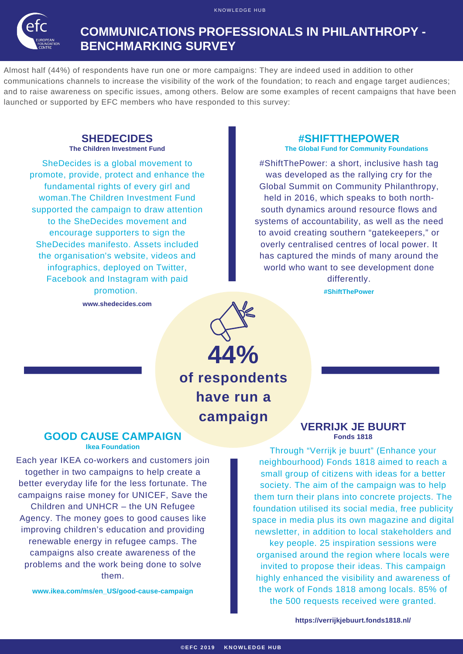

K NOWLEDGE HIJR

Almost half (44%) of respondents have run one or more campaigns: They are indeed used in addition to other communications channels to increase the visibility of the work of the foundation; to reach and engage target audiences; and to raise awareness on specific issues, among others. Below are some examples of recent campaigns that have been launched or supported by EFC members who have responded to this survey:

# **SHEDECIDES**<br>The Children Investment Fund

SheDecides is a global movement to promote, provide, protect and enhance the fundamental rights of every girl and woman.The Children Investment Fund supported the campaign to draw attention to the SheDecides movement and encourage supporters to sign the SheDecides manifesto. Assets included the organisation's website, videos and infographics, deployed on Twitter, Facebook and Instagram with paid promotion.

**www.shedecides.com**

#### **#SHIFTTHEPOWER**

**The Global Fund for Community Foundations** 

#ShiftThePower: a short, inclusive hash tag was developed as the rallying cry for the Global Summit on Community Philanthropy, held in 2016, which speaks to both northsouth dynamics around resource flows and systems of accountability, as well as the need to avoid creating southern "gatekeepers," or overly centralised centres of local power. It has captured the minds of many around the world who want to see development done differently.

**#ShiftThePower**

**44% of respondents have run a campaign**

#### **GOOD CAUSE CAMPAIGN Ikea Foundation**

Each year IKEA co-workers and customers join together in two campaigns to help create a better everyday life for the less fortunate. The campaigns raise money for UNICEF, Save the Children and UNHCR – the UN Refugee Agency. The money goes to good causes like improving children's education and providing renewable energy in refugee camps. The campaigns also create awareness of the problems and the work being done to solve them.

**www.ikea.com/ms/en\_US/good-cause-campaign**

#### **VERRIJK JE BUURT Fonds 1818**

Through "Verrijk je buurt" (Enhance your neighbourhood) Fonds 1818 aimed to reach a small group of citizens with ideas for a better society. The aim of the campaign was to help them turn their plans into concrete projects. The foundation utilised its social media, free publicity space in media plus its own magazine and digital newsletter, in addition to local stakeholders and key people. 25 inspiration sessions were organised around the region where locals were invited to propose their ideas. This campaign highly enhanced the visibility and awareness of the work of Fonds 1818 among locals. 85% of the 500 requests received were granted.

**https://verrijkjebuurt.fonds1818.nl/**